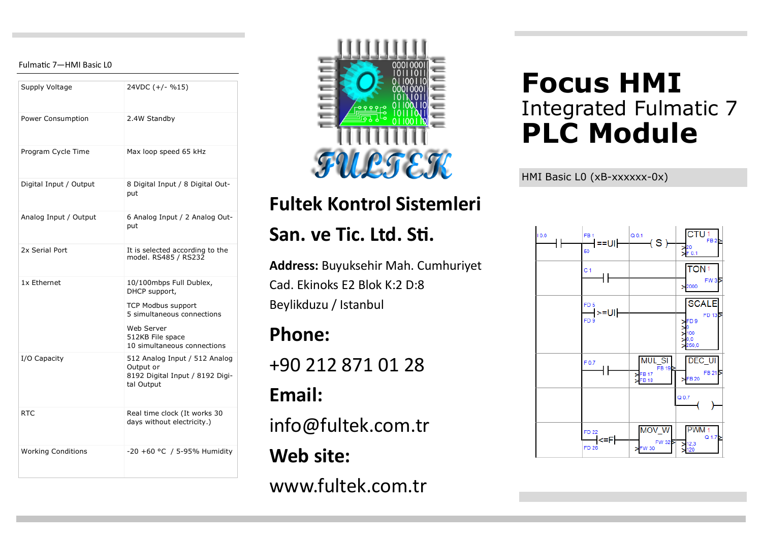#### Fulmatic 7—HMI Basic L0

| Supply Voltage            | 24VDC (+/- %15)                                                                                                                                                      |
|---------------------------|----------------------------------------------------------------------------------------------------------------------------------------------------------------------|
| Power Consumption         | 2.4W Standby                                                                                                                                                         |
| Program Cycle Time        | Max loop speed 65 kHz                                                                                                                                                |
| Digital Input / Output    | 8 Digital Input / 8 Digital Out-<br>put                                                                                                                              |
| Analog Input / Output     | 6 Analog Input / 2 Analog Out-<br>put                                                                                                                                |
| 2x Serial Port            | It is selected according to the<br>model. RS485 / RS232                                                                                                              |
| 1x Ethernet               | 10/100mbps Full Dublex,<br>DHCP support,<br><b>TCP Modbus support</b><br>5 simultaneous connections<br>Web Server<br>512KB File space<br>10 simultaneous connections |
| I/O Capacity              | 512 Analog Input / 512 Analog<br>Output or<br>8192 Digital Input / 8192 Digi-<br>tal Output                                                                          |
| RTC.                      | Real time clock (It works 30<br>days without electricity.)                                                                                                           |
| <b>Working Conditions</b> | -20 +60 °C / 5-95% Humidity                                                                                                                                          |



## **Fultek Kontrol Sistemleri**

### **San. ve Tic. Ltd. Sti.**

**Address:** Buyuksehir Mah. Cumhuriyet Cad. Ekinoks E2 Blok K:2 D:8 Beylikduzu / Istanbul

### **Phone:**

+90 212 871 01 28

### **Email:**

info@fultek.com.tr

### **Web site:**

www.fultek.com.tr

# **Focus HMI** Integrated Fulmatic 7 **PLC Module**

HMI Basic L0 (xB-xxxxxx-0x)